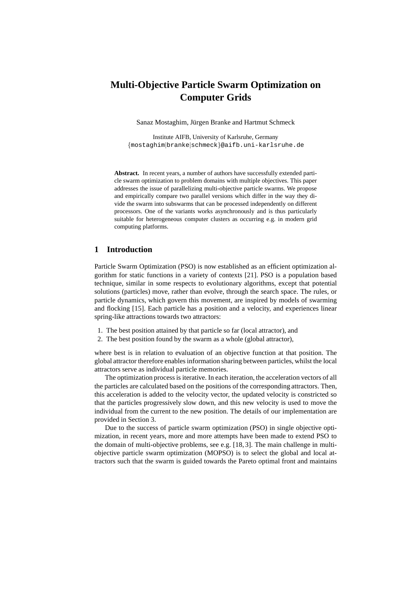# **Multi-Objective Particle Swarm Optimization on Computer Grids**

Sanaz Mostaghim, Jürgen Branke and Hartmut Schmeck

Institute AIFB, University of Karlsruhe, Germany {mostaghim|branke|schmeck}@aifb.uni-karlsruhe.de

**Abstract.** In recent years, a number of authors have successfully extended particle swarm optimization to problem domains with multiple objectives. This paper addresses the issue of parallelizing multi-objective particle swarms. We propose and empirically compare two parallel versions which differ in the way they divide the swarm into subswarms that can be processed independently on different processors. One of the variants works asynchronously and is thus particularly suitable for heterogeneous computer clusters as occurring e.g. in modern grid computing platforms.

## **1 Introduction**

Particle Swarm Optimization (PSO) is now established as an efficient optimization algorithm for static functions in a variety of contexts [21]. PSO is a population based technique, similar in some respects to evolutionary algorithms, except that potential solutions (particles) move, rather than evolve, through the search space. The rules, or particle dynamics, which govern this movement, are inspired by models of swarming and flocking [15]. Each particle has a position and a velocity, and experiences linear spring-like attractions towards two attractors:

- 1. The best position attained by that particle so far (local attractor), and
- 2. The best position found by the swarm as a whole (global attractor),

where best is in relation to evaluation of an objective function at that position. The global attractor therefore enables information sharing between particles, whilst the local attractors serve as individual particle memories.

The optimization process is iterative. In each iteration, the acceleration vectors of all the particles are calculated based on the positions of the corresponding attractors. Then, this acceleration is added to the velocity vector, the updated velocity is constricted so that the particles progressively slow down, and this new velocity is used to move the individual from the current to the new position. The details of our implementation are provided in Section 3.

Due to the success of particle swarm optimization (PSO) in single objective optimization, in recent years, more and more attempts have been made to extend PSO to the domain of multi-objective problems, see e.g. [18, 3]. The main challenge in multiobjective particle swarm optimization (MOPSO) is to select the global and local attractors such that the swarm is guided towards the Pareto optimal front and maintains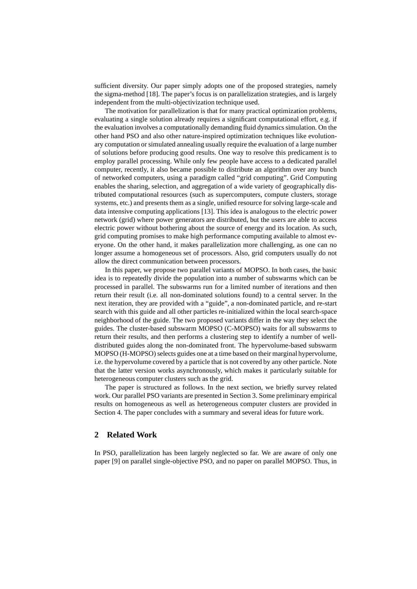sufficient diversity. Our paper simply adopts one of the proposed strategies, namely the sigma-method [18]. The paper's focus is on parallelization strategies, and is largely independent from the multi-objectivization technique used.

The motivation for parallelization is that for many practical optimization problems, evaluating a single solution already requires a significant computational effort, e.g. if the evaluation involves a computationally demanding fluid dynamics simulation. On the other hand PSO and also other nature-inspired optimization techniques like evolutionary computation or simulated annealing usually require the evaluation of a large number of solutions before producing good results. One way to resolve this predicament is to employ parallel processing. While only few people have access to a dedicated parallel computer, recently, it also became possible to distribute an algorithm over any bunch of networked computers, using a paradigm called "grid computing". Grid Computing enables the sharing, selection, and aggregation of a wide variety of geographically distributed computational resources (such as supercomputers, compute clusters, storage systems, etc.) and presents them as a single, unified resource for solving large-scale and data intensive computing applications [13]. This idea is analogous to the electric power network (grid) where power generators are distributed, but the users are able to access electric power without bothering about the source of energy and its location. As such, grid computing promises to make high performance computing available to almost everyone. On the other hand, it makes parallelization more challenging, as one can no longer assume a homogeneous set of processors. Also, grid computers usually do not allow the direct communication between processors.

In this paper, we propose two parallel variants of MOPSO. In both cases, the basic idea is to repeatedly divide the population into a number of subswarms which can be processed in parallel. The subswarms run for a limited number of iterations and then return their result (i.e. all non-dominated solutions found) to a central server. In the next iteration, they are provided with a "guide", a non-dominated particle, and re-start search with this guide and all other particles re-initialized within the local search-space neighborhood of the guide. The two proposed variants differ in the way they select the guides. The cluster-based subswarm MOPSO (C-MOPSO) waits for all subswarms to return their results, and then performs a clustering step to identify a number of welldistributed guides along the non-dominated front. The hypervolume-based subswarm MOPSO (H-MOPSO) selects guides one at a time based on their marginal hypervolume, i.e. the hypervolume covered by a particle that is not covered by any other particle. Note that the latter version works asynchronously, which makes it particularly suitable for heterogeneous computer clusters such as the grid.

The paper is structured as follows. In the next section, we briefly survey related work. Our parallel PSO variants are presented in Section 3. Some preliminary empirical results on homogeneous as well as heterogeneous computer clusters are provided in Section 4. The paper concludes with a summary and several ideas for future work.

## **2 Related Work**

In PSO, parallelization has been largely neglected so far. We are aware of only one paper [9] on parallel single-objective PSO, and no paper on parallel MOPSO. Thus, in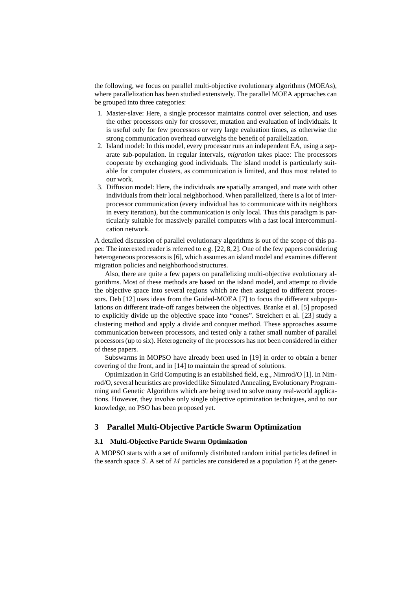the following, we focus on parallel multi-objective evolutionary algorithms (MOEAs), where parallelization has been studied extensively. The parallel MOEA approaches can be grouped into three categories:

- 1. Master-slave: Here, a single processor maintains control over selection, and uses the other processors only for crossover, mutation and evaluation of individuals. It is useful only for few processors or very large evaluation times, as otherwise the strong communication overhead outweighs the benefit of parallelization.
- 2. Island model: In this model, every processor runs an independent EA, using a separate sub-population. In regular intervals, *migration* takes place: The processors cooperate by exchanging good individuals. The island model is particularly suitable for computer clusters, as communication is limited, and thus most related to our work.
- 3. Diffusion model: Here, the individuals are spatially arranged, and mate with other individuals from their local neighborhood. When parallelized, there is a lot of interprocessor communication (every individual has to communicate with its neighbors in every iteration), but the communication is only local. Thus this paradigm is particularly suitable for massively parallel computers with a fast local intercommunication network.

A detailed discussion of parallel evolutionary algorithms is out of the scope of this paper. The interested reader is referred to e.g. [22, 8, 2]. One of the few papers considering heterogeneous processors is [6], which assumes an island model and examines different migration policies and neighborhood structures.

Also, there are quite a few papers on parallelizing multi-objective evolutionary algorithms. Most of these methods are based on the island model, and attempt to divide the objective space into several regions which are then assigned to different processors. Deb [12] uses ideas from the Guided-MOEA [7] to focus the different subpopulations on different trade-off ranges between the objectives. Branke et al. [5] proposed to explicitly divide up the objective space into "cones". Streichert et al. [23] study a clustering method and apply a divide and conquer method. These approaches assume communication between processors, and tested only a rather small number of parallel processors (up to six). Heterogeneity of the processors has not been considered in either of these papers.

Subswarms in MOPSO have already been used in [19] in order to obtain a better covering of the front, and in [14] to maintain the spread of solutions.

Optimization in Grid Computing is an established field, e.g., Nimrod/O [1]. In Nimrod/O, several heuristics are provided like Simulated Annealing, Evolutionary Programming and Genetic Algorithms which are being used to solve many real-world applications. However, they involve only single objective optimization techniques, and to our knowledge, no PSO has been proposed yet.

## **3 Parallel Multi-Objective Particle Swarm Optimization**

#### **3.1 Multi-Objective Particle Swarm Optimization**

A MOPSO starts with a set of uniformly distributed random initial particles defined in the search space S. A set of M particles are considered as a population  $P_t$  at the gener-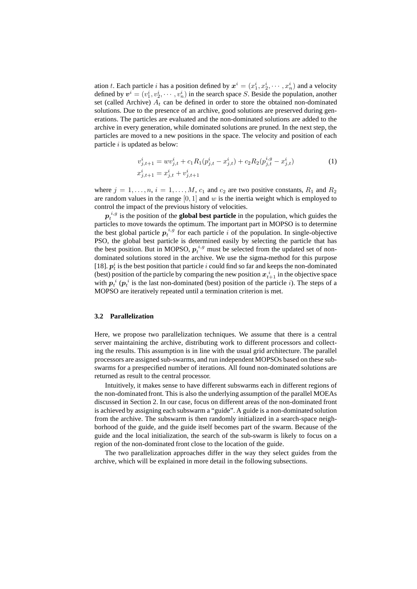ation t. Each particle i has a position defined by  $x^i = (x_1^i, x_2^i, \dots, x_n^i)$  and a velocity defined by  $v^i = (v_1^i, v_2^i, \dots, v_n^i)$  in the search space *S*. Beside the population, another set (called Archive)  $A_t$  can be defined in order to store the obtained non-dominated solutions. Due to the presence of an archive, good solutions are preserved during generations. The particles are evaluated and the non-dominated solutions are added to the archive in every generation, while dominated solutions are pruned. In the next step, the particles are moved to a new positions in the space. The velocity and position of each particle  $i$  is updated as below:

$$
v_{j,t+1}^i = w v_{j,t}^i + c_1 R_1 (p_{j,t}^i - x_{j,t}^i) + c_2 R_2 (p_{j,t}^{i,g} - x_{j,t}^i)
$$
  
\n
$$
x_{j,t+1}^i = x_{j,t}^i + v_{j,t+1}^i
$$
\n(1)

where  $j = 1, \ldots, n$ ,  $i = 1, \ldots, M$ ,  $c_1$  and  $c_2$  are two positive constants,  $R_1$  and  $R_2$ are random values in the range  $[0, 1]$  and w is the inertia weight which is employed to control the impact of the previous history of velocities.

 $p_t^{i,g}$  is the position of the **global best particle** in the population, which guides the particles to move towards the optimum. The important part in MOPSO is to determine the best global particle  $p_t^{i,g}$  for each particle i of the population. In single-objective PSO, the global best particle is determined easily by selecting the particle that has the best position. But in MOPSO,  $p_t^{i,g}$  must be selected from the updated set of nondominated solutions stored in the archive. We use the sigma-method for this purpose [18].  $p_t^i$  is the best position that particle i could find so far and keeps the non-dominated (best) position of the particle by comparing the new position  $x_{t+1}^i$  in the objective space with  $p_t^i$  ( $p_t^i$  is the last non-dominated (best) position of the particle *i*). The steps of a MOPSO are iteratively repeated until a termination criterion is met.

#### **3.2 Parallelization**

Here, we propose two parallelization techniques. We assume that there is a central server maintaining the archive, distributing work to different processors and collecting the results. This assumption is in line with the usual grid architecture. The parallel processors are assigned sub-swarms, and run independent MOPSOs based on these subswarms for a prespecified number of iterations. All found non-dominated solutions are returned as result to the central processor.

Intuitively, it makes sense to have different subswarms each in different regions of the non-dominated front. This is also the underlying assumption of the parallel MOEAs discussed in Section 2. In our case, focus on different areas of the non-dominated front is achieved by assigning each subswarm a "guide". A guide is a non-dominated solution from the archive. The subswarm is then randomly initialized in a search-space neighborhood of the guide, and the guide itself becomes part of the swarm. Because of the guide and the local initialization, the search of the sub-swarm is likely to focus on a region of the non-dominated front close to the location of the guide.

The two parallelization approaches differ in the way they select guides from the archive, which will be explained in more detail in the following subsections.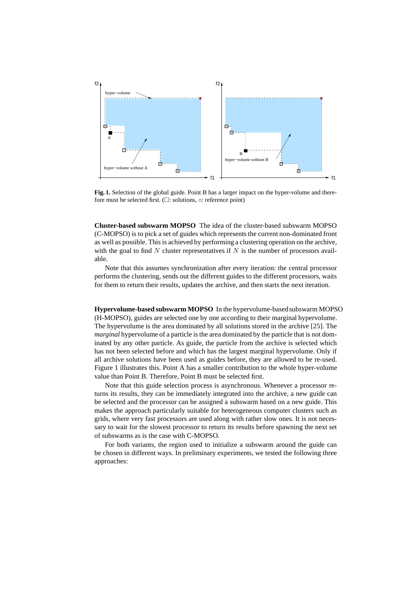

**Fig. 1.** Selection of the global guide. Point B has a larger impact on the hyper-volume and therefore must be selected first.  $(\Box)$ : solutions,  $\circ$ : reference point)

**Cluster-based subswarm MOPSO** The idea of the cluster-based subswarm MOPSO (C-MOPSO) is to pick a set of guides which represents the current non-dominated front as well as possible. This is achieved by performing a clustering operation on the archive, with the goal to find  $N$  cluster representatives if  $N$  is the number of processors available.

Note that this assumes synchronization after every iteration: the central processor performs the clustering, sends out the different guides to the different processors, waits for them to return their results, updates the archive, and then starts the next iteration.

**Hypervolume-based subswarm MOPSO** In the hypervolume-based subswarm MOPSO (H-MOPSO), guides are selected one by one according to their marginal hypervolume. The hypervolume is the area dominated by all solutions stored in the archive [25]. The *marginal* hypervolume of a particle is the area dominated by the particle that is not dominated by any other particle. As guide, the particle from the archive is selected which has not been selected before and which has the largest marginal hypervolume. Only if all archive solutions have been used as guides before, they are allowed to be re-used. Figure 1 illustrates this. Point A has a smaller contribution to the whole hyper-volume value than Point B. Therefore, Point B must be selected first.

Note that this guide selection process is asynchronous. Whenever a processor returns its results, they can be immediately integrated into the archive, a new guide can be selected and the processor can be assigned a subswarm based on a new guide. This makes the approach particularly suitable for heterogeneous computer clusters such as grids, where very fast processors are used along with rather slow ones. It is not necessary to wait for the slowest processor to return its results before spawning the next set of subswarms as is the case with C-MOPSO.

For both variants, the region used to initialize a subswarm around the guide can be chosen in different ways. In preliminary experiments, we tested the following three approaches: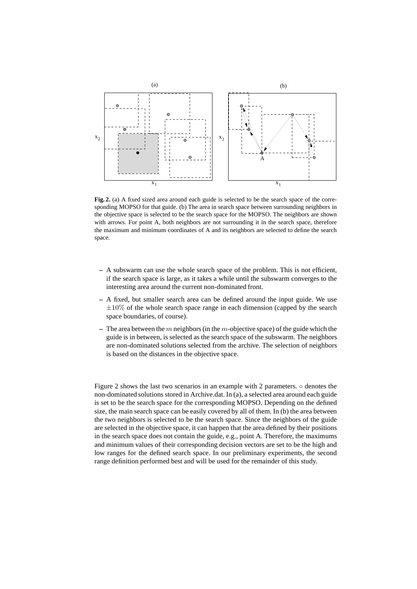

**Fig. 2.** (a) A fixed sized area around each guide is selected to be the search space of the corresponding MOPSO for that guide. (b) The area in search space between surrounding neighbors in the objective space is selected to be the search space for the MOPSO. The neighbors are shown with arrows. For point A, both neighbors are not surrounding it in the search space, therefore the maximum and minimum coordinates of A and its neighbors are selected to define the search space.

- **–** A subswarm can use the whole search space of the problem. This is not efficient, if the search space is large, as it takes a while until the subswarm converges to the interesting area around the current non-dominated front.
- **–** A fixed, but smaller search area can be defined around the input guide. We use  $\pm 10\%$  of the whole search space range in each dimension (capped by the search space boundaries, of course).
- **–** The area between the m neighbors (in the m-objective space) of the guide which the guide is in between, is selected as the search space of the subswarm. The neighbors are non-dominated solutions selected from the archive. The selection of neighbors is based on the distances in the objective space.

Figure 2 shows the last two scenarios in an example with 2 parameters. ◦ denotes the non-dominated solutions stored in Archive.dat. In (a), a selected area around each guide is set to be the search space for the corresponding MOPSO. Depending on the defined size, the main search space can be easily covered by all of them. In (b) the area between the two neighbors is selected to be the search space. Since the neighbors of the guide are selected in the objective space, it can happen that the area defined by their positions in the search space does not contain the guide, e.g., point A. Therefore, the maximums and minimum values of their corresponding decision vectors are set to be the high and low ranges for the defined search space. In our preliminary experiments, the second range definition performed best and will be used for the remainder of this study.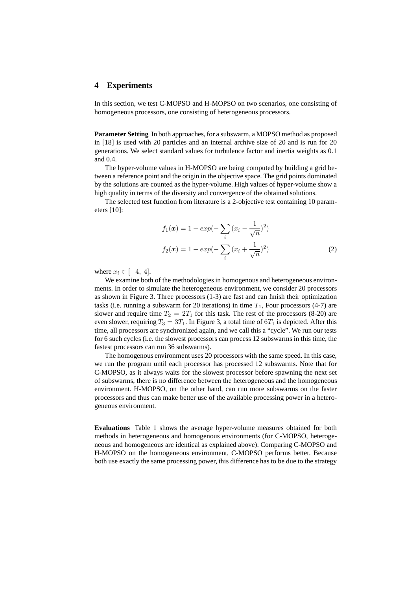#### **4 Experiments**

In this section, we test C-MOPSO and H-MOPSO on two scenarios, one consisting of homogeneous processors, one consisting of heterogeneous processors.

**Parameter Setting** In both approaches, for a subswarm, a MOPSO method as proposed in [18] is used with 20 particles and an internal archive size of 20 and is run for 20 generations. We select standard values for turbulence factor and inertia weights as 0.1 and 0.4.

The hyper-volume values in H-MOPSO are being computed by building a grid between a reference point and the origin in the objective space. The grid points dominated by the solutions are counted as the hyper-volume. High values of hyper-volume show a high quality in terms of the diversity and convergence of the obtained solutions.

The selected test function from literature is a 2-objective test containing 10 parameters [10]:

$$
f_1(\mathbf{x}) = 1 - exp(-\sum_{i} (x_i - \frac{1}{\sqrt{n}})^2)
$$
  

$$
f_2(\mathbf{x}) = 1 - exp(-\sum_{i} (x_i + \frac{1}{\sqrt{n}})^2)
$$
 (2)

where  $x_i \in [-4, 4]$ .

We examine both of the methodologies in homogenous and heterogeneous environments. In order to simulate the heterogeneous environment, we consider 20 processors as shown in Figure 3. Three processors (1-3) are fast and can finish their optimization tasks (i.e. running a subswarm for 20 iterations) in time  $T_1$ , Four processors (4-7) are slower and require time  $T_2 = 2T_1$  for this task. The rest of the processors (8-20) are even slower, requiring  $T_3 = 3T_1$ . In Figure 3, a total time of  $6T_1$  is depicted. After this time, all processors are synchronized again, and we call this a "cycle". We run our tests for 6 such cycles (i.e. the slowest processors can process 12 subswarms in this time, the fastest processors can run 36 subswarms).

The homogenous environment uses 20 processors with the same speed. In this case, we run the program until each processor has processed 12 subswarms. Note that for C-MOPSO, as it always waits for the slowest processor before spawning the next set of subswarms, there is no difference between the heterogeneous and the homogeneous environment. H-MOPSO, on the other hand, can run more subswarms on the faster processors and thus can make better use of the available processing power in a heterogeneous environment.

**Evaluations** Table 1 shows the average hyper-volume measures obtained for both methods in heterogeneous and homogenous environments (for C-MOPSO, heterogeneous and homogeneous are identical as explained above). Comparing C-MOPSO and H-MOPSO on the homogeneous environment, C-MOPSO performs better. Because both use exactly the same processing power, this difference has to be due to the strategy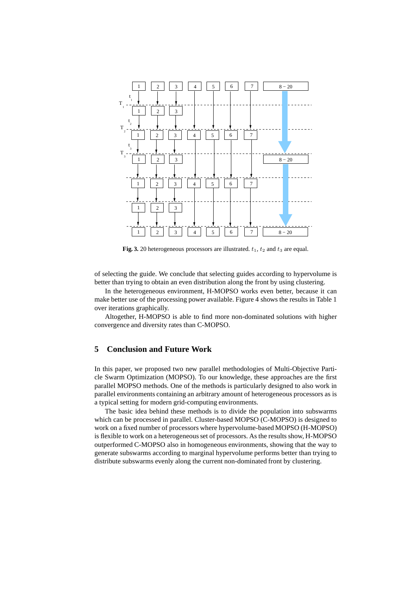

**Fig. 3.** 20 heterogeneous processors are illustrated.  $t_1$ ,  $t_2$  and  $t_3$  are equal.

of selecting the guide. We conclude that selecting guides according to hypervolume is better than trying to obtain an even distribution along the front by using clustering.

In the heterogeneous environment, H-MOPSO works even better, because it can make better use of the processing power available. Figure 4 shows the results in Table 1 over iterations graphically.

Altogether, H-MOPSO is able to find more non-dominated solutions with higher convergence and diversity rates than C-MOPSO.

## **5 Conclusion and Future Work**

In this paper, we proposed two new parallel methodologies of Multi-Objective Particle Swarm Optimization (MOPSO). To our knowledge, these approaches are the first parallel MOPSO methods. One of the methods is particularly designed to also work in parallel environments containing an arbitrary amount of heterogeneous processors as is a typical setting for modern grid-computing environments.

The basic idea behind these methods is to divide the population into subswarms which can be processed in parallel. Cluster-based MOPSO (C-MOPSO) is designed to work on a fixed number of processors where hypervolume-based MOPSO (H-MOPSO) is flexible to work on a heterogeneous set of processors. As the results show, H-MOPSO outperformed C-MOPSO also in homogeneous environments, showing that the way to generate subswarms according to marginal hypervolume performs better than trying to distribute subswarms evenly along the current non-dominated front by clustering.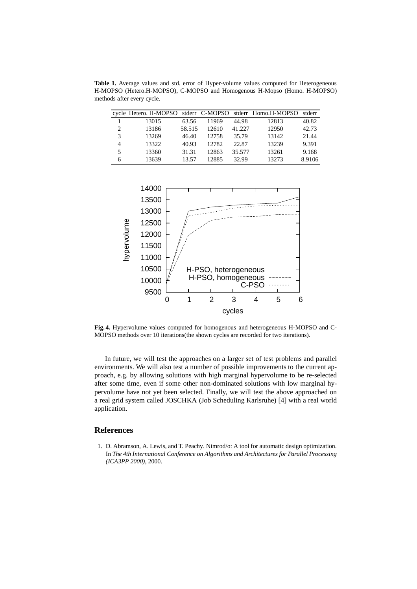**Table 1.** Average values and std. error of Hyper-volume values computed for Heterogeneous H-MOPSO (Hetero.H-MOPSO), C-MOPSO and Homogenous H-Mopso (Homo. H-MOPSO) methods after every cycle.

|                             | cycle Hetero. H-MOPSO stderr C-MOPSO stderr Homo.H-MOPSO |        |       |        |       | stderr |
|-----------------------------|----------------------------------------------------------|--------|-------|--------|-------|--------|
|                             | 13015                                                    | 63.56  | 11969 | 44.98  | 12813 | 40.82  |
| $\mathcal{D}_{\mathcal{L}}$ | 13186                                                    | 58.515 | 12610 | 41.227 | 12950 | 42.73  |
| 3                           | 13269                                                    | 46.40  | 12758 | 35.79  | 13142 | 21.44  |
| 4                           | 13322                                                    | 40.93  | 12782 | 22.87  | 13239 | 9.391  |
| 5                           | 13360                                                    | 31.31  | 12863 | 35.577 | 13261 | 9.168  |
| 6                           | 13639                                                    | 13.57  | 12885 | 32.99  | 13273 | 8.9106 |



**Fig. 4.** Hypervolume values computed for homogenous and heterogeneous H-MOPSO and C-MOPSO methods over 10 iterations(the shown cycles are recorded for two iterations).

In future, we will test the approaches on a larger set of test problems and parallel environments. We will also test a number of possible improvements to the current approach, e.g. by allowing solutions with high marginal hypervolume to be re-selected after some time, even if some other non-dominated solutions with low marginal hypervolume have not yet been selected. Finally, we will test the above approached on a real grid system called JOSCHKA (Job Scheduling Karlsruhe) [4] with a real world application.

### **References**

1. D. Abramson, A. Lewis, and T. Peachy. Nimrod/o: A tool for automatic design optimization. In *The 4th International Conference on Algorithms and Architectures for Parallel Processing (ICA3PP 2000)*, 2000.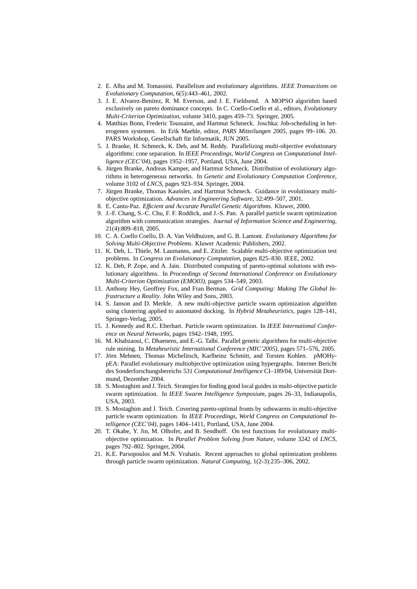- 2. E. Alba and M. Tomassini. Parallelism and evolutionary algorithms. *IEEE Transactions on Evolutionary Computation*, 6(5):443–461, 2002.
- 3. J. E. Alvarez-Benitez, R. M. Everson, and J. E. Fieldsend. A MOPSO algorithm based exclusively on pareto dominance concepts. In C. Coello-Coello et al., editors, *Evolutionary Multi-Criterion Optimization*, volume 3410, pages 459–73. Springer, 2005.
- 4. Matthias Bonn, Frederic Toussaint, and Hartmut Schmeck. Joschka: Job-scheduling in heterogenen systemen. In Erik Maehle, editor, *PARS Mitteilungen 2005*, pages 99–106. 20. PARS Workshop, Gesellschaft für Informatik, JUN 2005.
- 5. J. Branke, H. Schmeck, K. Deb, and M. Reddy. Parallelizing multi-objective evolutionary algorithms: cone separation. In *IEEE Proceedings, World Congress on Computational Intelligence (CEC'04)*, pages 1952–1957, Portland, USA, June 2004.
- 6. Jürgen Branke, Andreas Kamper, and Hartmut Schmeck. Distribution of evolutionary algorithms in heterogeneous networks. In *Genetic and Evolutionary Computation Conference*, volume 3102 of *LNCS*, pages 923–934. Springer, 2004.
- 7. Jürgen Branke, Thomas Kaušsler, and Hartmut Schmeck. Guidance in evolutionary multiobjective optimization. *Advances in Engineering Software*, 32:499–507, 2001.
- 8. E. Cantu-Paz. *Efficient and Accurate Parallel Genetic Algorithms*. Kluwer, 2000.
- 9. J.-F. Chang, S.-C. Chu, F. F. Roddick, and J.-S. Pan. A parallel particle swarm optimization algorithm with communication strategies. *Journal of Information Science and Engineering*, 21(4):809–818, 2005.
- 10. C. A. Coello Coello, D. A. Van Veldhuizen, and G. B. Lamont. *Evolutionary Algorithms for Solving Multi-Objective Problems*. Kluwer Academic Publishers, 2002.
- 11. K. Deb, L. Thiele, M. Laumanns, and E. Zitzler. Scalable multi-objective optimization test problems. In *Congress on Evolutionary Computation*, pages 825–830. IEEE, 2002.
- 12. K. Deb, P. Zope, and A. Jain. Distributed computing of pareto-optimal solutions with evolutionary algorithms. In *Proceedings of Second International Conference on Evolutionary Multi-Criterion Optimization (EMO03)*, pages 534–549, 2003.
- 13. Anthony Hey, Geoffrey Fox, and Fran Berman. *Grid Computing: Making The Global Infrastructure a Reality*. John Wiley and Sons, 2003.
- 14. S. Janson and D. Merkle. A new multi-objective particle swarm optimization algorithm using clustering applied to automated docking. In *Hybrid Metaheuristics*, pages 128–141, Springer-Verlag, 2005.
- 15. J. Kennedy and R.C. Eberhart. Particle swarm optimization. In *IEEE International Conference on Neural Networks*, pages 1942–1948, 1995.
- 16. M. Khabzaoui, C. Dhaenens, and E.-G. Talbi. Parallel genetic algorithms for multi-objective rule mining. In *Metaheuristic International Conference (MIC'2005)*, pages 571–576, 2005.
- 17. Jörn Mehnen, Thomas Michelitsch, Karlheinz Schmitt, and Torsten Kohlen. pMOHypEA: Parallel evolutionary multiobjective optimization using hypergraphs. Interner Bericht des Sonderforschungsbereichs 531 Computational Intelligence CI-189/04, Universität Dortmund, Dezember 2004.
- 18. S. Mostaghim and J. Teich. Strategies for finding good local guides in multi-objective particle swarm optimization. In *IEEE Swarm Intelligence Symposium*, pages 26–33, Indianapolis, USA, 2003.
- 19. S. Mostaghim and J. Teich. Covering pareto-optimal fronts by subswarms in multi-objective particle swarm optimization. In *IEEE Proceedings, World Congress on Computational Intelligence (CEC'04)*, pages 1404–1411, Portland, USA, June 2004.
- 20. T. Okabe, Y. Jin, M. Olhofer, and B. Sendhoff. On test functions for evolutionary multiobjective optimization. In *Parallel Problem Solving from Nature*, volume 3242 of *LNCS*, pages 792–802. Springer, 2004.
- 21. K.E. Parsopoulos and M.N. Vrahatis. Recent approaches to global optimization problems through particle swarm optimization. *Natural Computing*, 1(2-3):235–306, 2002.